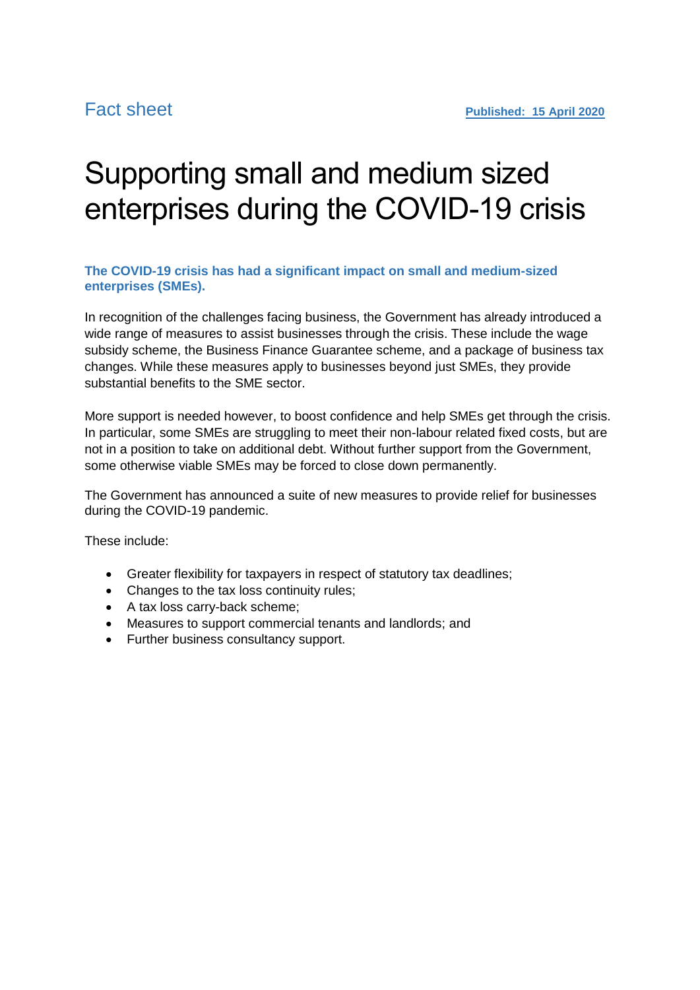# Supporting small and medium sized enterprises during the COVID-19 crisis

## **The COVID-19 crisis has had a significant impact on small and medium-sized enterprises (SMEs).**

In recognition of the challenges facing business, the Government has already introduced a wide range of measures to assist businesses through the crisis. These include the wage subsidy scheme, the Business Finance Guarantee scheme, and a package of business tax changes. While these measures apply to businesses beyond just SMEs, they provide substantial benefits to the SME sector.

More support is needed however, to boost confidence and help SMEs get through the crisis. In particular, some SMEs are struggling to meet their non-labour related fixed costs, but are not in a position to take on additional debt. Without further support from the Government, some otherwise viable SMEs may be forced to close down permanently.

The Government has announced a suite of new measures to provide relief for businesses during the COVID-19 pandemic.

These include:

- Greater flexibility for taxpayers in respect of statutory tax deadlines;
- Changes to the tax loss continuity rules;
- A tax loss carry-back scheme;
- Measures to support commercial tenants and landlords; and
- Further business consultancy support.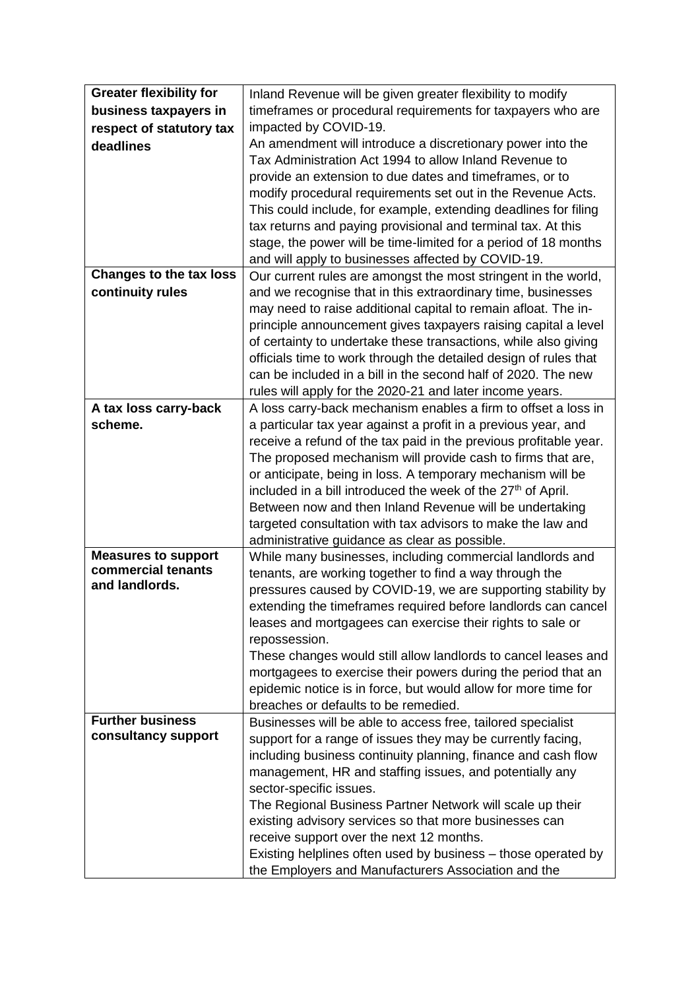| <b>Greater flexibility for</b>   | Inland Revenue will be given greater flexibility to modify                                                                          |
|----------------------------------|-------------------------------------------------------------------------------------------------------------------------------------|
| business taxpayers in            | timeframes or procedural requirements for taxpayers who are                                                                         |
| respect of statutory tax         | impacted by COVID-19.                                                                                                               |
| deadlines                        | An amendment will introduce a discretionary power into the                                                                          |
|                                  | Tax Administration Act 1994 to allow Inland Revenue to                                                                              |
|                                  | provide an extension to due dates and timeframes, or to                                                                             |
|                                  | modify procedural requirements set out in the Revenue Acts.                                                                         |
|                                  | This could include, for example, extending deadlines for filing                                                                     |
|                                  | tax returns and paying provisional and terminal tax. At this                                                                        |
|                                  | stage, the power will be time-limited for a period of 18 months                                                                     |
|                                  | and will apply to businesses affected by COVID-19.                                                                                  |
| <b>Changes to the tax loss</b>   | Our current rules are amongst the most stringent in the world,                                                                      |
| continuity rules                 | and we recognise that in this extraordinary time, businesses                                                                        |
|                                  | may need to raise additional capital to remain afloat. The in-                                                                      |
|                                  | principle announcement gives taxpayers raising capital a level                                                                      |
|                                  | of certainty to undertake these transactions, while also giving                                                                     |
|                                  | officials time to work through the detailed design of rules that                                                                    |
|                                  | can be included in a bill in the second half of 2020. The new                                                                       |
|                                  | rules will apply for the 2020-21 and later income years.                                                                            |
| A tax loss carry-back<br>scheme. | A loss carry-back mechanism enables a firm to offset a loss in                                                                      |
|                                  | a particular tax year against a profit in a previous year, and<br>receive a refund of the tax paid in the previous profitable year. |
|                                  | The proposed mechanism will provide cash to firms that are,                                                                         |
|                                  | or anticipate, being in loss. A temporary mechanism will be                                                                         |
|                                  | included in a bill introduced the week of the 27 <sup>th</sup> of April.                                                            |
|                                  | Between now and then Inland Revenue will be undertaking                                                                             |
|                                  | targeted consultation with tax advisors to make the law and                                                                         |
|                                  | administrative guidance as clear as possible.                                                                                       |
| <b>Measures to support</b>       | While many businesses, including commercial landlords and                                                                           |
| commercial tenants               | tenants, are working together to find a way through the                                                                             |
| and landlords.                   | pressures caused by COVID-19, we are supporting stability by                                                                        |
|                                  | extending the timeframes required before landlords can cancel                                                                       |
|                                  | leases and mortgagees can exercise their rights to sale or                                                                          |
|                                  | repossession.                                                                                                                       |
|                                  | These changes would still allow landlords to cancel leases and                                                                      |
|                                  | mortgagees to exercise their powers during the period that an                                                                       |
|                                  | epidemic notice is in force, but would allow for more time for                                                                      |
|                                  | breaches or defaults to be remedied.                                                                                                |
| <b>Further business</b>          | Businesses will be able to access free, tailored specialist                                                                         |
| consultancy support              | support for a range of issues they may be currently facing,                                                                         |
|                                  | including business continuity planning, finance and cash flow                                                                       |
|                                  | management, HR and staffing issues, and potentially any                                                                             |
|                                  | sector-specific issues.                                                                                                             |
|                                  | The Regional Business Partner Network will scale up their                                                                           |
|                                  | existing advisory services so that more businesses can                                                                              |
|                                  | receive support over the next 12 months.                                                                                            |
|                                  | Existing helplines often used by business – those operated by                                                                       |
|                                  | the Employers and Manufacturers Association and the                                                                                 |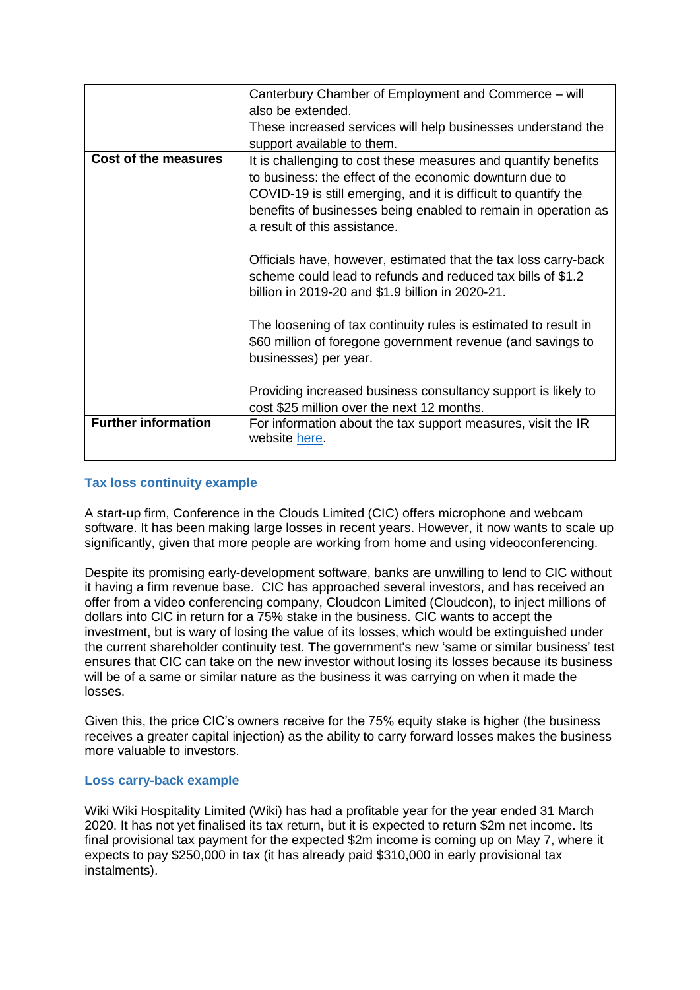|                             | Canterbury Chamber of Employment and Commerce – will                                                                                                                                         |
|-----------------------------|----------------------------------------------------------------------------------------------------------------------------------------------------------------------------------------------|
|                             | also be extended.                                                                                                                                                                            |
|                             | These increased services will help businesses understand the                                                                                                                                 |
|                             | support available to them.                                                                                                                                                                   |
| <b>Cost of the measures</b> | It is challenging to cost these measures and quantify benefits<br>to business: the effect of the economic downturn due to<br>COVID-19 is still emerging, and it is difficult to quantify the |
|                             | benefits of businesses being enabled to remain in operation as<br>a result of this assistance.                                                                                               |
|                             | Officials have, however, estimated that the tax loss carry-back<br>scheme could lead to refunds and reduced tax bills of \$1.2<br>billion in 2019-20 and \$1.9 billion in 2020-21.           |
|                             | The loosening of tax continuity rules is estimated to result in<br>\$60 million of foregone government revenue (and savings to<br>businesses) per year.                                      |
|                             | Providing increased business consultancy support is likely to<br>cost \$25 million over the next 12 months.                                                                                  |
| <b>Further information</b>  | For information about the tax support measures, visit the IR<br>website here.                                                                                                                |

## **Tax loss continuity example**

A start-up firm, Conference in the Clouds Limited (CIC) offers microphone and webcam software. It has been making large losses in recent years. However, it now wants to scale up significantly, given that more people are working from home and using videoconferencing.

Despite its promising early-development software, banks are unwilling to lend to CIC without it having a firm revenue base. CIC has approached several investors, and has received an offer from a video conferencing company, Cloudcon Limited (Cloudcon), to inject millions of dollars into CIC in return for a 75% stake in the business. CIC wants to accept the investment, but is wary of losing the value of its losses, which would be extinguished under the current shareholder continuity test. The government's new 'same or similar business' test ensures that CIC can take on the new investor without losing its losses because its business will be of a same or similar nature as the business it was carrying on when it made the losses.

Given this, the price CIC's owners receive for the 75% equity stake is higher (the business receives a greater capital injection) as the ability to carry forward losses makes the business more valuable to investors.

## **Loss carry-back example**

Wiki Wiki Hospitality Limited (Wiki) has had a profitable year for the year ended 31 March 2020. It has not yet finalised its tax return, but it is expected to return \$2m net income. Its final provisional tax payment for the expected \$2m income is coming up on May 7, where it expects to pay \$250,000 in tax (it has already paid \$310,000 in early provisional tax instalments).